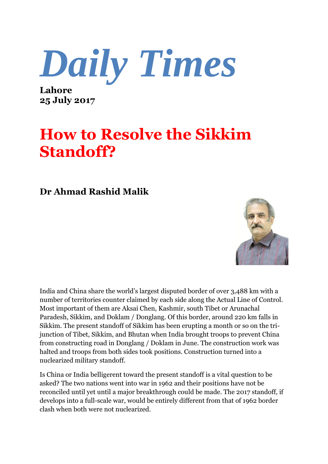*Daily Times*

**Lahore 25 July 2017**

## **How to Resolve the Sikkim Standoff?**

## **Dr Ahmad Rashid Malik**



India and China share the world's largest disputed border of over 3,488 km with a number of territories counter claimed by each side along the Actual Line of Control. Most important of them are Aksai Chen, Kashmir, south Tibet or Arunachal Paradesh, Sikkim, and Doklam / Donglang. Of this border, around 220 km falls in Sikkim. The present standoff of Sikkim has been erupting a month or so on the trijunction of Tibet, Sikkim, and Bhutan when India brought troops to prevent China from constructing road in Donglang / Doklam in June. The construction work was halted and troops from both sides took positions. Construction turned into a nuclearized military standoff.

Is China or India belligerent toward the present standoff is a vital question to be asked? The two nations went into war in 1962 and their positions have not be reconciled until yet until a major breakthrough could be made. The 2017 standoff, if develops into a full-scale war, would be entirely different from that of 1962 border clash when both were not nuclearized.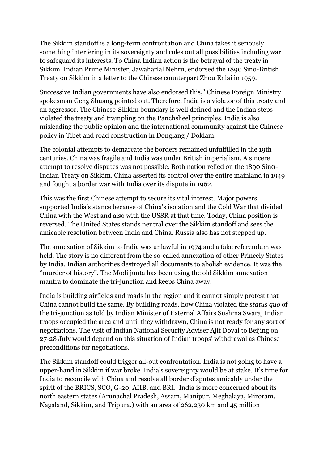The Sikkim standoff is a long-term confrontation and China takes it seriously something interfering in its sovereignty and rules out all possibilities including war to safeguard its interests. To China Indian action is the betrayal of the treaty in Sikkim. Indian Prime Minister, Jawaharlal Nehru, endorsed the 1890 Sino-British Treaty on Sikkim in a letter to the Chinese counterpart Zhou Enlai in 1959.

Successive Indian governments have also endorsed this," Chinese Foreign Ministry spokesman Geng Shuang pointed out. Therefore, India is a violator of this treaty and an aggressor. The Chinese-Sikkim boundary is well defined and the Indian steps violated the treaty and trampling on the Panchsheel principles. India is also misleading the public opinion and the international community against the Chinese policy in Tibet and road construction in Donglang / Doklam.

The colonial attempts to demarcate the borders remained unfulfilled in the 19th centuries. China was fragile and India was under British imperialism. A sincere attempt to resolve disputes was not possible. Both nation relied on the 1890 Sin0- Indian Treaty on Sikkim. China asserted its control over the entire mainland in 1949 and fought a border war with India over its dispute in 1962.

This was the first Chinese attempt to secure its vital interest. Major powers supported India's stance because of China's isolation and the Cold War that divided China with the West and also with the USSR at that time. Today, China position is reversed. The United States stands neutral over the Sikkim standoff and sees the amicable resolution between India and China. Russia also has not stepped up.

The annexation of Sikkim to India was unlawful in 1974 and a fake referendum was held. The story is no different from the so-called annexation of other Princely States by India. Indian authorities destroyed all documents to abolish evidence. It was the ''murder of history". The Modi junta has been using the old Sikkim annexation mantra to dominate the tri-junction and keeps China away.

India is building airfields and roads in the region and it cannot simply protest that China cannot build the same. By building roads, how China violated the *status quo* of the tri-junction as told by Indian Minister of External Affairs Sushma Swaraj Indian troops occupied the area and until they withdrawn, China is not ready for any sort of negotiations. The visit of Indian National Security Adviser Ajit Doval to Beijing on 27-28 July would depend on this situation of Indian troops' withdrawal as Chinese preconditions for negotiations.

The Sikkim standoff could trigger all-out confrontation. India is not going to have a upper-hand in Sikkim if war broke. India's sovereignty would be at stake. It's time for India to reconcile with China and resolve all border disputes amicably under the spirit of the BRICS, SCO, G-20, AIIB, and BRI. India is more concerned about its north eastern states (Arunachal Pradesh, Assam, Manipur, Meghalaya, Mizoram, Nagaland, Sikkim, and Tripura.) with an area of 262,230 km and 45 million